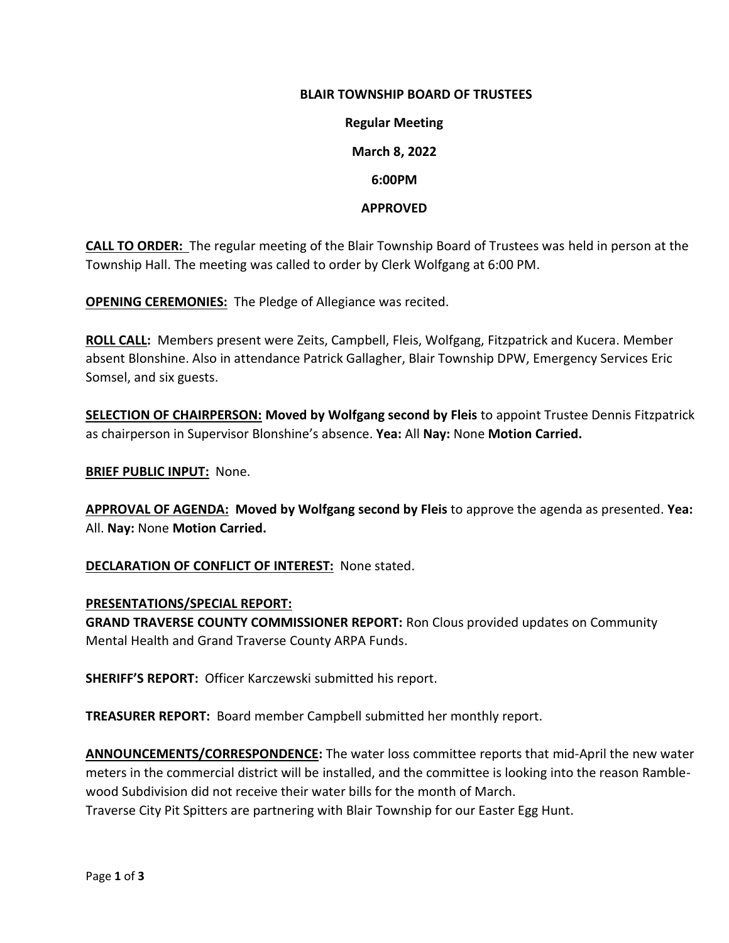#### **BLAIR TOWNSHIP BOARD OF TRUSTEES**

**Regular Meeting March 8, 2022 6:00PM**

#### **APPROVED**

**CALL TO ORDER:** The regular meeting of the Blair Township Board of Trustees was held in person at the Township Hall. The meeting was called to order by Clerk Wolfgang at 6:00 PM.

**OPENING CEREMONIES:** The Pledge of Allegiance was recited.

**ROLL CALL:** Members present were Zeits, Campbell, Fleis, Wolfgang, Fitzpatrick and Kucera. Member absent Blonshine. Also in attendance Patrick Gallagher, Blair Township DPW, Emergency Services Eric Somsel, and six guests.

**SELECTION OF CHAIRPERSON: Moved by Wolfgang second by Fleis** to appoint Trustee Dennis Fitzpatrick as chairperson in Supervisor Blonshine's absence. **Yea:** All **Nay:** None **Motion Carried.**

**BRIEF PUBLIC INPUT:** None.

**APPROVAL OF AGENDA: Moved by Wolfgang second by Fleis** to approve the agenda as presented. **Yea:**  All. **Nay:** None **Motion Carried.**

**DECLARATION OF CONFLICT OF INTEREST:** None stated.

#### **PRESENTATIONS/SPECIAL REPORT:**

**GRAND TRAVERSE COUNTY COMMISSIONER REPORT:** Ron Clous provided updates on Community Mental Health and Grand Traverse County ARPA Funds.

**SHERIFF'S REPORT:** Officer Karczewski submitted his report.

**TREASURER REPORT:** Board member Campbell submitted her monthly report.

**ANNOUNCEMENTS/CORRESPONDENCE:** The water loss committee reports that mid-April the new water meters in the commercial district will be installed, and the committee is looking into the reason Ramblewood Subdivision did not receive their water bills for the month of March.

Traverse City Pit Spitters are partnering with Blair Township for our Easter Egg Hunt.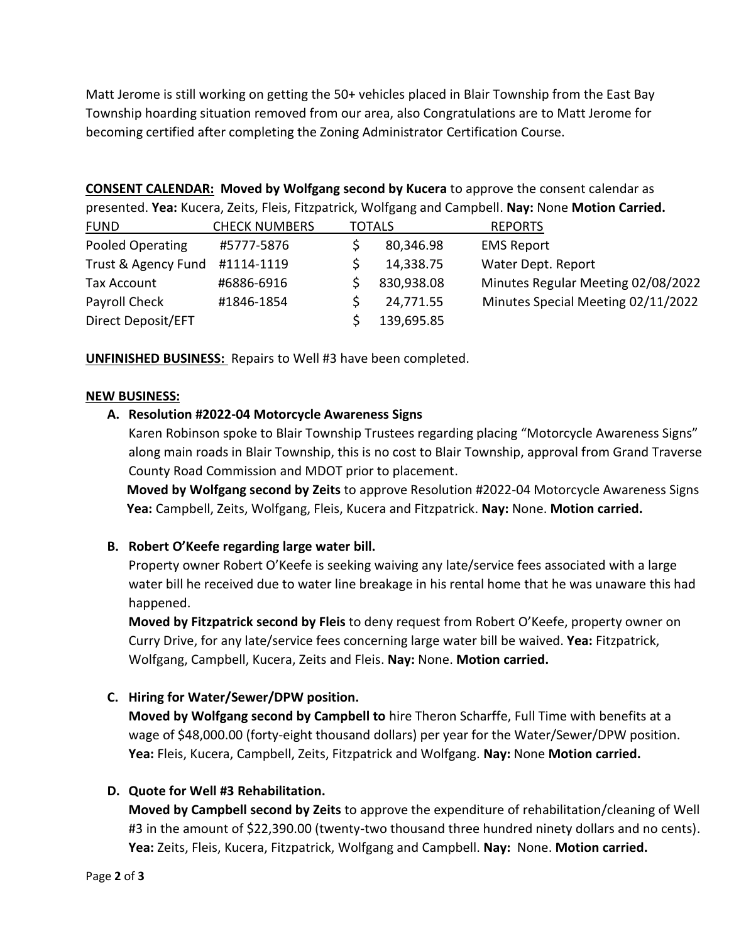Matt Jerome is still working on getting the 50+ vehicles placed in Blair Township from the East Bay Township hoarding situation removed from our area, also Congratulations are to Matt Jerome for becoming certified after completing the Zoning Administrator Certification Course.

**CONSENT CALENDAR: Moved by Wolfgang second by Kucera** to approve the consent calendar as presented. **Yea:** Kucera, Zeits, Fleis, Fitzpatrick, Wolfgang and Campbell. **Nay:** None **Motion Carried.**

| <b>FUND</b>         | <b>CHECK NUMBERS</b> | <b>TOTALS</b> |            | <b>REPORTS</b>                     |
|---------------------|----------------------|---------------|------------|------------------------------------|
| Pooled Operating    | #5777-5876           |               | 80,346.98  | <b>EMS Report</b>                  |
| Trust & Agency Fund | #1114-1119           |               | 14,338.75  | Water Dept. Report                 |
| Tax Account         | #6886-6916           |               | 830,938.08 | Minutes Regular Meeting 02/08/2022 |
| Payroll Check       | #1846-1854           |               | 24,771.55  | Minutes Special Meeting 02/11/2022 |
| Direct Deposit/EFT  |                      |               | 139,695.85 |                                    |

**UNFINISHED BUSINESS:** Repairs to Well #3 have been completed.

### **NEW BUSINESS:**

### **A. Resolution #2022-04 Motorcycle Awareness Signs**

Karen Robinson spoke to Blair Township Trustees regarding placing "Motorcycle Awareness Signs" along main roads in Blair Township, this is no cost to Blair Township, approval from Grand Traverse County Road Commission and MDOT prior to placement.

**Moved by Wolfgang second by Zeits** to approve Resolution #2022-04 Motorcycle Awareness Signs **Yea:** Campbell, Zeits, Wolfgang, Fleis, Kucera and Fitzpatrick. **Nay:** None. **Motion carried.**

# **B. Robert O'Keefe regarding large water bill.**

Property owner Robert O'Keefe is seeking waiving any late/service fees associated with a large water bill he received due to water line breakage in his rental home that he was unaware this had happened.

**Moved by Fitzpatrick second by Fleis** to deny request from Robert O'Keefe, property owner on Curry Drive, for any late/service fees concerning large water bill be waived. **Yea:** Fitzpatrick, Wolfgang, Campbell, Kucera, Zeits and Fleis. **Nay:** None. **Motion carried.** 

# **C. Hiring for Water/Sewer/DPW position.**

**Moved by Wolfgang second by Campbell to** hire Theron Scharffe, Full Time with benefits at a wage of \$48,000.00 (forty-eight thousand dollars) per year for the Water/Sewer/DPW position. **Yea:** Fleis, Kucera, Campbell, Zeits, Fitzpatrick and Wolfgang. **Nay:** None **Motion carried.**

# **D. Quote for Well #3 Rehabilitation.**

**Moved by Campbell second by Zeits** to approve the expenditure of rehabilitation/cleaning of Well #3 in the amount of \$22,390.00 (twenty-two thousand three hundred ninety dollars and no cents). **Yea:** Zeits, Fleis, Kucera, Fitzpatrick, Wolfgang and Campbell. **Nay:** None. **Motion carried.**